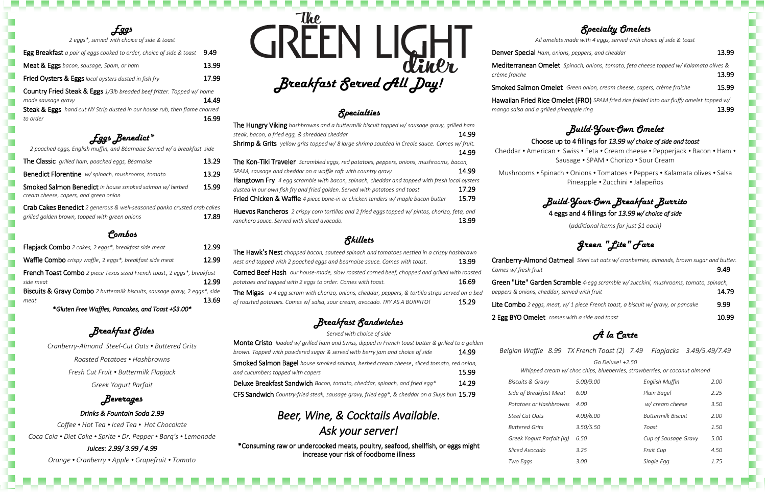#### *Specialty Omelets*

*All omelets made with 4 eggs, served with choice of side & toast* 

**Denver Special** *Ham, onions, peppers, and cheddar* 13.99

Hawaiian Fried Rice Omelet (FRO) *SPAM fried rice folded into our fluffy omelet topped w/ mango salsa and a grilled pineapple ring* 13.99

Mediterranean Omelet *Spinach, onions, tomato, feta cheese topped w/ Kalamata olives &* 

*crème fraiche* 13.99

Smoked Salmon Omelet *Green onion, cream cheese, capers, crème fraiche* 15.99

## *Build-Your-Own Omelet*

### Choose up to 4 fillings for *13.99 w/ choice of side and toast*

Cheddar *•* American *•* Swiss *•* Feta *•* Cream cheese *•* Pepperjack *•* Bacon *•* Ham *•* Sausage *•* SPAM *•* Chorizo *•* Sour Cream

Mushrooms *•* Spinach *•* Onions *•* Tomatoes *•* Peppers *•* Kalamata olives *•* Salsa Pineapple *•* Zucchini *•* Jalapeños

### *Build-Your-Own Breakfast Burrito* 4 eggs and 4 fillings for *13.99 w/ choice of side*

(*additional items for just \$1 each)*

*Green "Lite" Fare*

 $B$ *iscuits & Gravy Side of Breakfast Med*  $Potatoes$  *or Hashbrow Steel Cut Oats 4.00/6.00 Buttermilk Biscuit 2.00*  $Buttered$  *Grits Greek Yogurt Parfait (lg) 6.50 Cup of Sausage Gravy 5.00 Sliced Avocado 3.25 Fruit Cup 4.50 Two Eggs 3.00 Single Egg 1.75*



| Cranberry-Almond Oatmeal Steel cut oats w/ cranberries, almonds, brown sugar and butter.                                             |       |
|--------------------------------------------------------------------------------------------------------------------------------------|-------|
| Comes w/fresh fruit                                                                                                                  | 9.49  |
| Green "Lite" Garden Scramble 4-egg scramble w/ zucchini, mushrooms, tomato, spinach,<br>peppers & onions, cheddar, served with fruit | 14.79 |
| <b>Lite Combo</b> 2 eggs, meat, $w/1$ piece French toast, a biscuit $w$ / gravy, or pancake                                          | 9.99  |
| 2 Egg BYO Omelet comes with a side and toast                                                                                         | 10.99 |

## *À la Carte*

*Belgian Waffle 8.99 TX French Toast (2) 7.49 Flapjacks 3.49/5.49/7.49*

*Go Deluxe! +2.50*

*Whipped cream w/ choc chips, blueberries, strawberries, or coconut almond*

|      | 5.00/9.00 | English Muffin       | 2.00 |
|------|-----------|----------------------|------|
| ıt   | 6.00      | Plain Bagel          | 2.25 |
| ns/  | 4.00      | w/ cream cheese      | 3.50 |
|      | 4.00/6.00 | Buttermilk Biscuit   | 2.00 |
|      | 3.50/5.50 | Toast                | 1.50 |
| ʻlg) | 6.50      | Cup of Sausage Gravy | 5.00 |
|      | 3.25      | <b>Fruit Cup</b>     | 4.50 |
|      | 3.00      | Single Egg           | 1.75 |

*Eggs 2 eggs\*, served with choice of side & toast* 

| Egg Breakfast a pair of eggs cooked to order, choice of side & toast       | 9.49  |
|----------------------------------------------------------------------------|-------|
| Meat & Eggs bacon, sausage, Spam, or ham                                   | 13.99 |
| <b>Fried Oysters &amp; Eggs</b> local oysters dusted in fish fry           | 17.99 |
| Country Fried Steak & Eggs 1/3lb breaded beef fritter. Topped w/ home      |       |
| made sausage gravy                                                         | 14.49 |
| Steak & Eggs hand cut NY Strip dusted in our house rub, then flame charred |       |
| to order                                                                   | R 99  |

*Eggs Benedict\**

| Pombos                                                                                                                    |       |
|---------------------------------------------------------------------------------------------------------------------------|-------|
| Crab Cakes Benedict 2 generous & well-seasoned panko crusted crab cakes<br>grilled golden brown, topped with green onions | 17.89 |
| <b>Smoked Salmon Benedict</b> in house smoked salmon w/ herbed<br>cream cheese, capers, and green onion                   | 15.99 |
| Benedict Florentine w/spinach, mushrooms, tomato                                                                          | 13.29 |
| The Classic grilled ham, poached eggs, Béarnaise                                                                          | 13.29 |
| 2 poached eggs, English muffin, and Béarnaise Served w/ a breakfast side                                                  |       |

| <b>Flapjack Combo</b> 2 cakes, 2 eggs*, breakfast side meat                          | 12.99 |
|--------------------------------------------------------------------------------------|-------|
| Waffle Combo crispy waffle, 2 eggs*, breakfast side meat                             | 12.99 |
| French Toast Combo 2 piece Texas sized French toast, 2 eggs*, breakfast<br>side meat | 12.99 |
| Biscuits & Gravy Combo 2 buttermilk biscuits, sausage gravy, 2 eggs*, side           |       |
| meat                                                                                 | 13.69 |
| *Gluten Free Waffles, Pancakes, and Toast +\$3.00*                                   |       |

*Breakfast Sides*

*Cranberry-Almond Steel-Cut Oats • Buttered Grits Roasted Potatoes • Hashbrowns Fresh Cut Fruit • Buttermilk Flapjack*

*Greek Yogurt Parfait*

#### *Beverages*

*Drinks & Fountain Soda 2.99 Coffee • Hot Tea • Iced Tea • Hot Chocolate Coca Cola • Diet Coke • Sprite • Dr. Pepper • Barq's • Lemonade Juices: 2.99/ 3.99 / 4.99* 

*Orange • Cranberry • Apple • Grapefruit • Tomato* 

**The** *Breakfast Served All Day!* diner

## *Specialties*

| The Hungry Viking hashbrowns and a buttermilk biscuit topped w/ sausage gravy, grilled ham<br>steak, bacon, a fried egg, & shredded cheddar                                 | 14.99 |
|-----------------------------------------------------------------------------------------------------------------------------------------------------------------------------|-------|
| <b>Shrimp &amp; Grits</b> yellow grits topped w/ 8 large shrimp sautéed in Creole sauce. Comes w/ fruit.                                                                    | 14.99 |
| <b>The Kon-Tiki Traveler</b> Scrambled eggs, red potatoes, peppers, onions, mushrooms, bacon,<br>SPAM, sausage and cheddar on a waffle raft with country gravy              | 14.99 |
| Hangtown Fry 4 egg scramble with bacon, spinach, cheddar and topped with fresh local oysters<br>dusted in our own fish fry and fried golden. Served with potatoes and toast | 17.29 |
| Fried Chicken & Waffle 4 piece bone-in or chicken tenders w/ maple bacon butter                                                                                             | 15.79 |
| <b>Huevos Rancheros</b> 2 crispy corn tortillas and 2 fried eggs topped w/ pintos, chorizo, feta, and<br>ranchero sauce. Served with sliced avocado.                        | 13 99 |

## *Skillets*

| <b>The Hawk's Nest</b> chopped bacon, sauteed spinach and tomatoes nestled in a crispy hashbrown         |       |  |  |
|----------------------------------------------------------------------------------------------------------|-------|--|--|
| nest and topped with 2 poached eggs and bearnaise sauce. Comes with toast.                               | 13.99 |  |  |
| <b>Corned Beef Hash</b> our house-made, slow roasted corned beef, chopped and grilled with roasted       |       |  |  |
| 16.69<br>potatoes and topped with 2 eggs to order. Comes with toast.                                     |       |  |  |
| <b>The Migas</b> a 4 egg scram with chorizo, onions, cheddar, peppers, & tortilla strips served on a bed |       |  |  |
| of roasted potatoes. Comes w/ salsa, sour cream, avocado. TRY AS A BURRITO!                              | 15.29 |  |  |

*Breakfast Sandwiches*

*Served with choice of side*

| Monte Cristo loaded w/ grilled ham and Swiss, dipped in French toast batter & grilled to a golden |       |  |  |
|---------------------------------------------------------------------------------------------------|-------|--|--|
| brown. Topped with powdered sugar & served with berry jam and choice of side                      | 14.99 |  |  |
| <b>Smoked Salmon Bagel</b> house smoked salmon, herbed cream cheese, sliced tomato, red onion,    |       |  |  |
| and cucumbers topped with capers                                                                  | 15.99 |  |  |
| Deluxe Breakfast Sandwich Bacon, tomato, cheddar, spinach, and fried egg*                         | 14.29 |  |  |
| CFS Sandwich Country-fried steak, sausage gravy, fried egg*, & cheddar on a Sluys bun 15.79       |       |  |  |

## *Beer, Wine, & Cocktails Available. Ask your server!*

 \*Consuming raw or undercooked meats, poultry, seafood, shellfish, or eggs might increase your risk of foodborne illness